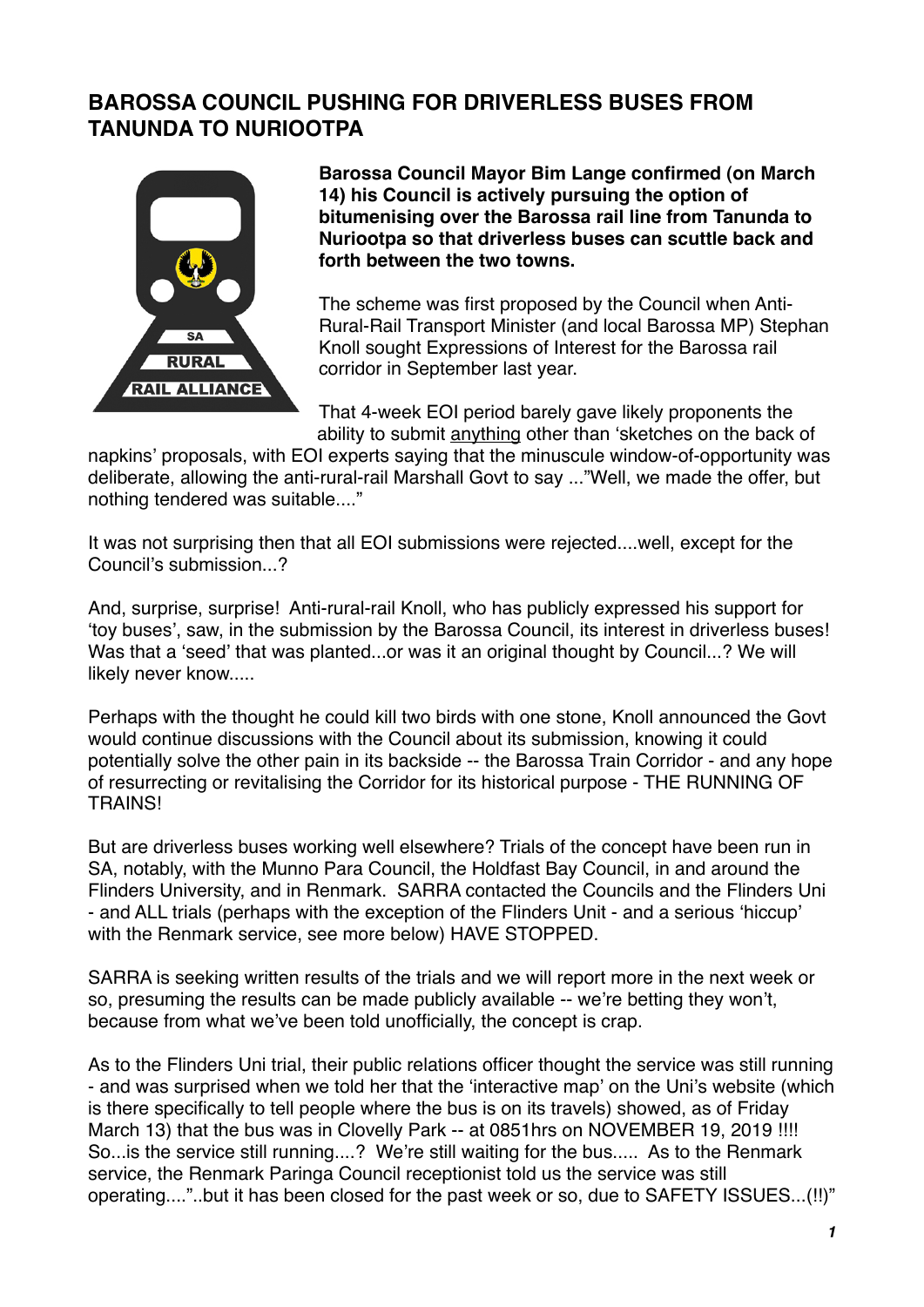## **BAROSSA COUNCIL PUSHING FOR DRIVERLESS BUSES FROM TANUNDA TO NURIOOTPA**



**Barossa Council Mayor Bim Lange confirmed (on March 14) his Council is actively pursuing the option of bitumenising over the Barossa rail line from Tanunda to Nuriootpa so that driverless buses can scuttle back and forth between the two towns.**

The scheme was first proposed by the Council when Anti-Rural-Rail Transport Minister (and local Barossa MP) Stephan Knoll sought Expressions of Interest for the Barossa rail corridor in September last year.

That 4-week EOI period barely gave likely proponents the ability to submit anything other than ʻsketches on the back of

napkins' proposals, with EOI experts saying that the minuscule window-of-opportunity was deliberate, allowing the anti-rural-rail Marshall Govt to say ..."Well, we made the offer, but nothing tendered was suitable...."

It was not surprising then that all EOI submissions were rejected....well, except for the Council's submission...?

And, surprise, surprise! Anti-rural-rail Knoll, who has publicly expressed his support for ʻtoy buses', saw, in the submission by the Barossa Council, its interest in driverless buses! Was that a ʻseed' that was planted...or was it an original thought by Council...? We will likely never know.....

Perhaps with the thought he could kill two birds with one stone, Knoll announced the Govt would continue discussions with the Council about its submission, knowing it could potentially solve the other pain in its backside -- the Barossa Train Corridor - and any hope of resurrecting or revitalising the Corridor for its historical purpose - THE RUNNING OF TRAINS!

But are driverless buses working well elsewhere? Trials of the concept have been run in SA, notably, with the Munno Para Council, the Holdfast Bay Council, in and around the Flinders University, and in Renmark. SARRA contacted the Councils and the Flinders Uni - and ALL trials (perhaps with the exception of the Flinders Unit - and a serious ʻhiccup' with the Renmark service, see more below) HAVE STOPPED.

SARRA is seeking written results of the trials and we will report more in the next week or so, presuming the results can be made publicly available -- we're betting they won't, because from what we've been told unofficially, the concept is crap.

As to the Flinders Uni trial, their public relations officer thought the service was still running - and was surprised when we told her that the ʻinteractive map' on the Uni's website (which is there specifically to tell people where the bus is on its travels) showed, as of Friday March 13) that the bus was in Clovelly Park -- at 0851hrs on NOVEMBER 19, 2019 !!!! So...is the service still running....? We're still waiting for the bus..... As to the Renmark service, the Renmark Paringa Council receptionist told us the service was still operating...."..but it has been closed for the past week or so, due to SAFETY ISSUES...(!!)"